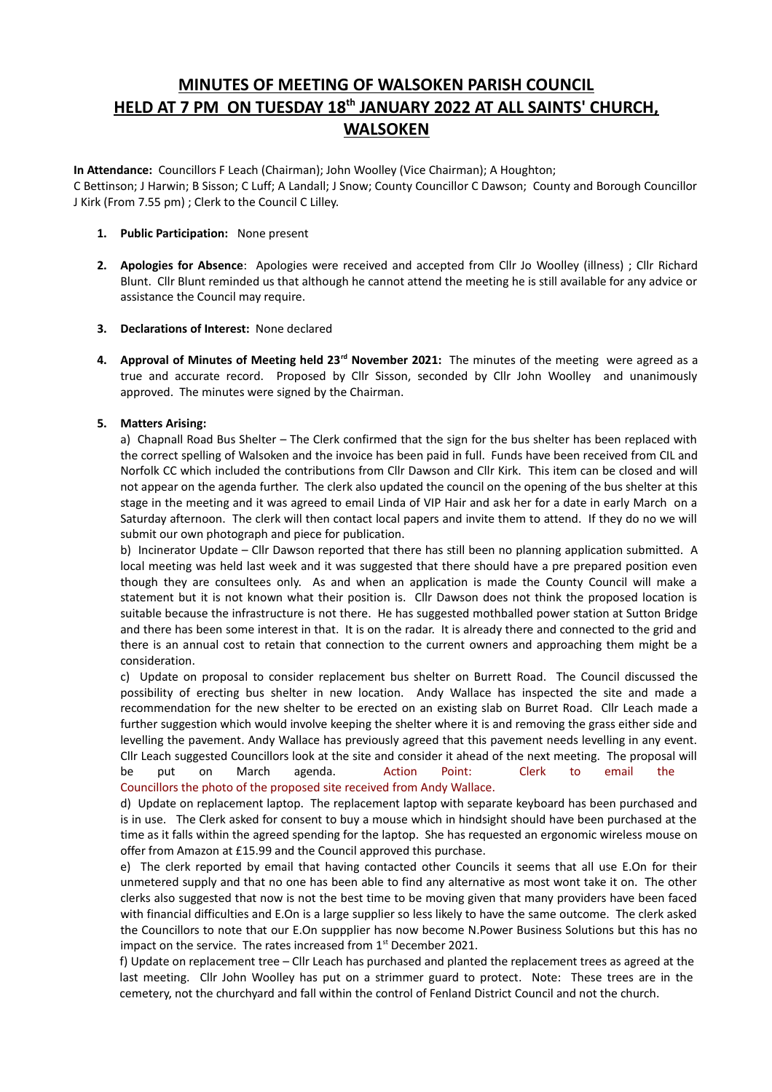# **MINUTES OF MEETING OF WALSOKEN PARISH COUNCIL HELD AT 7 PM ON TUESDAY 18th JANUARY 2022 AT ALL SAINTS' CHURCH, WALSOKEN**

**In Attendance:** Councillors F Leach (Chairman); John Woolley (Vice Chairman); A Houghton; C Bettinson; J Harwin; B Sisson; C Luff; A Landall; J Snow; County Councillor C Dawson; County and Borough Councillor J Kirk (From 7.55 pm) ; Clerk to the Council C Lilley.

- **1. Public Participation:** None present
- **2. Apologies for Absence**: Apologies were received and accepted from Cllr Jo Woolley (illness) ; Cllr Richard Blunt. Cllr Blunt reminded us that although he cannot attend the meeting he is still available for any advice or assistance the Council may require.
- **3. Declarations of Interest:** None declared
- **4. Approval of Minutes of Meeting held 23rd November 2021:** The minutes of the meeting were agreed as a true and accurate record. Proposed by Cllr Sisson, seconded by Cllr John Woolley and unanimously approved. The minutes were signed by the Chairman.

# **5. Matters Arising:**

a) Chapnall Road Bus Shelter – The Clerk confirmed that the sign for the bus shelter has been replaced with the correct spelling of Walsoken and the invoice has been paid in full. Funds have been received from CIL and Norfolk CC which included the contributions from Cllr Dawson and Cllr Kirk. This item can be closed and will not appear on the agenda further. The clerk also updated the council on the opening of the bus shelter at this stage in the meeting and it was agreed to email Linda of VIP Hair and ask her for a date in early March on a Saturday afternoon. The clerk will then contact local papers and invite them to attend. If they do no we will submit our own photograph and piece for publication.

b) Incinerator Update – Cllr Dawson reported that there has still been no planning application submitted. A local meeting was held last week and it was suggested that there should have a pre prepared position even though they are consultees only. As and when an application is made the County Council will make a statement but it is not known what their position is. Cllr Dawson does not think the proposed location is suitable because the infrastructure is not there. He has suggested mothballed power station at Sutton Bridge and there has been some interest in that. It is on the radar. It is already there and connected to the grid and there is an annual cost to retain that connection to the current owners and approaching them might be a consideration.

c) Update on proposal to consider replacement bus shelter on Burrett Road. The Council discussed the possibility of erecting bus shelter in new location. Andy Wallace has inspected the site and made a recommendation for the new shelter to be erected on an existing slab on Burret Road. Cllr Leach made a further suggestion which would involve keeping the shelter where it is and removing the grass either side and levelling the pavement. Andy Wallace has previously agreed that this pavement needs levelling in any event. Cllr Leach suggested Councillors look at the site and consider it ahead of the next meeting. The proposal will be put on March agenda. Action Point: Clerk to email the Councillors the photo of the proposed site received from Andy Wallace.

d) Update on replacement laptop. The replacement laptop with separate keyboard has been purchased and is in use. The Clerk asked for consent to buy a mouse which in hindsight should have been purchased at the time as it falls within the agreed spending for the laptop. She has requested an ergonomic wireless mouse on offer from Amazon at £15.99 and the Council approved this purchase.

e) The clerk reported by email that having contacted other Councils it seems that all use E.On for their unmetered supply and that no one has been able to find any alternative as most wont take it on. The other clerks also suggested that now is not the best time to be moving given that many providers have been faced with financial difficulties and E.On is a large supplier so less likely to have the same outcome. The clerk asked the Councillors to note that our E.On suppplier has now become N.Power Business Solutions but this has no impact on the service. The rates increased from  $1<sup>st</sup>$  December 2021.

f) Update on replacement tree – Cllr Leach has purchased and planted the replacement trees as agreed at the last meeting. Cllr John Woolley has put on a strimmer guard to protect. Note: These trees are in the cemetery, not the churchyard and fall within the control of Fenland District Council and not the church.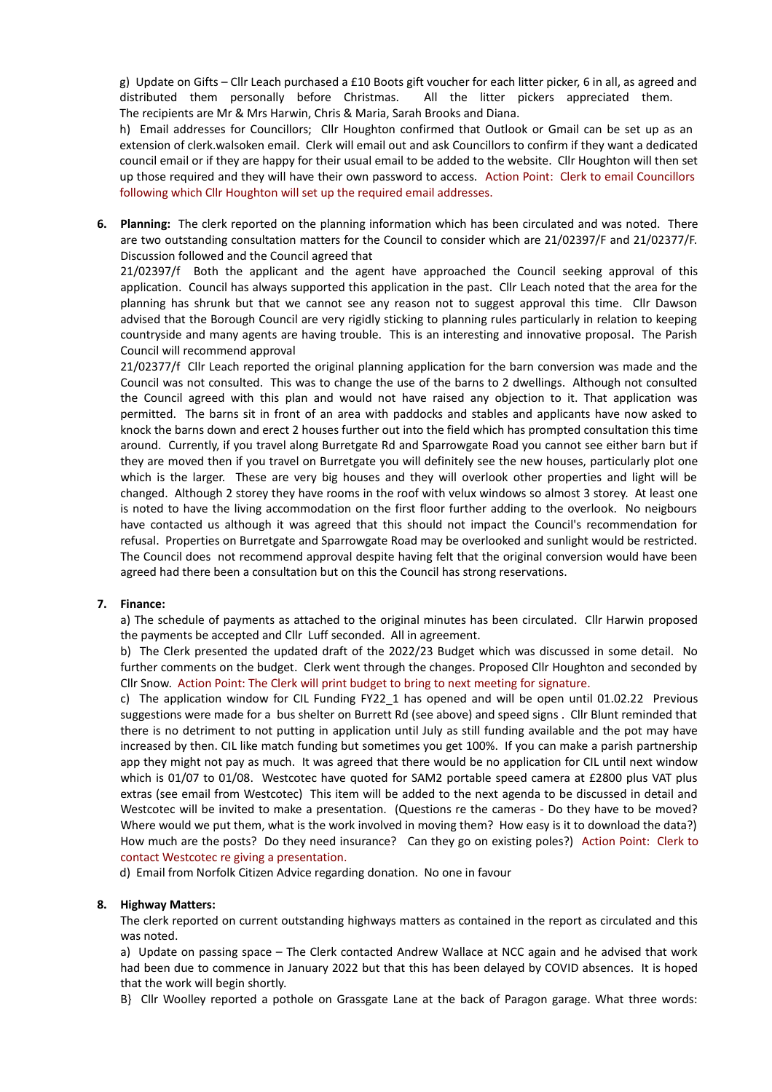g) Update on Gifts – Cllr Leach purchased a £10 Boots gift voucher for each litter picker, 6 in all, as agreed and distributed them personally before Christmas. All the litter pickers appreciated them. The recipients are Mr & Mrs Harwin, Chris & Maria, Sarah Brooks and Diana.

h) Email addresses for Councillors; Cllr Houghton confirmed that Outlook or Gmail can be set up as an extension of clerk.walsoken email. Clerk will email out and ask Councillors to confirm if they want a dedicated council email or if they are happy for their usual email to be added to the website. Cllr Houghton will then set up those required and they will have their own password to access. Action Point: Clerk to email Councillors following which Cllr Houghton will set up the required email addresses.

**6. Planning:** The clerk reported on the planning information which has been circulated and was noted. There are two outstanding consultation matters for the Council to consider which are 21/02397/F and 21/02377/F. Discussion followed and the Council agreed that

21/02397/f Both the applicant and the agent have approached the Council seeking approval of this application. Council has always supported this application in the past. Cllr Leach noted that the area for the planning has shrunk but that we cannot see any reason not to suggest approval this time. Cllr Dawson advised that the Borough Council are very rigidly sticking to planning rules particularly in relation to keeping countryside and many agents are having trouble. This is an interesting and innovative proposal. The Parish Council will recommend approval

21/02377/f Cllr Leach reported the original planning application for the barn conversion was made and the Council was not consulted. This was to change the use of the barns to 2 dwellings. Although not consulted the Council agreed with this plan and would not have raised any objection to it. That application was permitted. The barns sit in front of an area with paddocks and stables and applicants have now asked to knock the barns down and erect 2 houses further out into the field which has prompted consultation this time around. Currently, if you travel along Burretgate Rd and Sparrowgate Road you cannot see either barn but if they are moved then if you travel on Burretgate you will definitely see the new houses, particularly plot one which is the larger. These are very big houses and they will overlook other properties and light will be changed. Although 2 storey they have rooms in the roof with velux windows so almost 3 storey. At least one is noted to have the living accommodation on the first floor further adding to the overlook. No neigbours have contacted us although it was agreed that this should not impact the Council's recommendation for refusal. Properties on Burretgate and Sparrowgate Road may be overlooked and sunlight would be restricted. The Council does not recommend approval despite having felt that the original conversion would have been agreed had there been a consultation but on this the Council has strong reservations.

# **7. Finance:**

a) The schedule of payments as attached to the original minutes has been circulated. Cllr Harwin proposed the payments be accepted and Cllr Luff seconded. All in agreement.

b) The Clerk presented the updated draft of the 2022/23 Budget which was discussed in some detail. No further comments on the budget. Clerk went through the changes. Proposed Cllr Houghton and seconded by Cllr Snow. Action Point: The Clerk will print budget to bring to next meeting for signature.

c) The application window for CIL Funding FY22\_1 has opened and will be open until 01.02.22 Previous suggestions were made for a bus shelter on Burrett Rd (see above) and speed signs . Cllr Blunt reminded that there is no detriment to not putting in application until July as still funding available and the pot may have increased by then. CIL like match funding but sometimes you get 100%. If you can make a parish partnership app they might not pay as much. It was agreed that there would be no application for CIL until next window which is 01/07 to 01/08. Westcotec have quoted for SAM2 portable speed camera at £2800 plus VAT plus extras (see email from Westcotec) This item will be added to the next agenda to be discussed in detail and Westcotec will be invited to make a presentation. (Questions re the cameras - Do they have to be moved? Where would we put them, what is the work involved in moving them? How easy is it to download the data?) How much are the posts? Do they need insurance? Can they go on existing poles?) Action Point: Clerk to contact Westcotec re giving a presentation.

d) Email from Norfolk Citizen Advice regarding donation. No one in favour

#### **8. Highway Matters:**

The clerk reported on current outstanding highways matters as contained in the report as circulated and this was noted.

a) Update on passing space – The Clerk contacted Andrew Wallace at NCC again and he advised that work had been due to commence in January 2022 but that this has been delayed by COVID absences. It is hoped that the work will begin shortly.

B} Cllr Woolley reported a pothole on Grassgate Lane at the back of Paragon garage. What three words: